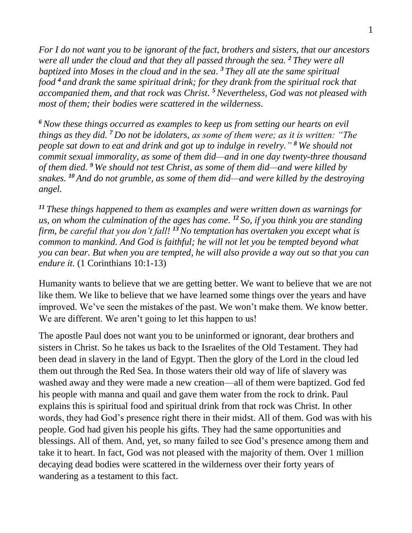*For I do not want you to be ignorant of the fact, brothers and sisters, that our ancestors were all under the cloud and that they all passed through the sea. <sup>2</sup> They were all baptized into Moses in the cloud and in the sea. <sup>3</sup> They all ate the same spiritual food <sup>4</sup> and drank the same spiritual drink; for they drank from the spiritual rock that accompanied them, and that rock was Christ. <sup>5</sup>Nevertheless, God was not pleased with most of them; their bodies were scattered in the wilderness.*

*<sup>6</sup>Now these things occurred as examples to keep us from setting our hearts on evil things as they did. <sup>7</sup> Do not be idolaters, as some of them were; as it is written: "The people sat down to eat and drink and got up to indulge in revelry." <sup>8</sup> We should not commit sexual immorality, as some of them did—and in one day twenty-three thousand of them died. <sup>9</sup> We should not test Christ, as some of them did—and were killed by snakes. <sup>10</sup> And do not grumble, as some of them did—and were killed by the destroying angel.*

*<sup>11</sup> These things happened to them as examples and were written down as warnings for us, on whom the culmination of the ages has come. <sup>12</sup> So, if you think you are standing firm, be careful that you don't fall! <sup>13</sup>No temptation has overtaken you except what is common to mankind. And God is faithful; he will not let you be tempted beyond what you can bear. But when you are tempted, he will also provide a way out so that you can endure it.* (1 Corinthians 10:1-13)

Humanity wants to believe that we are getting better. We want to believe that we are not like them. We like to believe that we have learned some things over the years and have improved. We've seen the mistakes of the past. We won't make them. We know better. We are different. We aren't going to let this happen to us!

The apostle Paul does not want you to be uninformed or ignorant, dear brothers and sisters in Christ. So he takes us back to the Israelites of the Old Testament. They had been dead in slavery in the land of Egypt. Then the glory of the Lord in the cloud led them out through the Red Sea. In those waters their old way of life of slavery was washed away and they were made a new creation—all of them were baptized. God fed his people with manna and quail and gave them water from the rock to drink. Paul explains this is spiritual food and spiritual drink from that rock was Christ. In other words, they had God's presence right there in their midst. All of them. God was with his people. God had given his people his gifts. They had the same opportunities and blessings. All of them. And, yet, so many failed to see God's presence among them and take it to heart. In fact, God was not pleased with the majority of them. Over 1 million decaying dead bodies were scattered in the wilderness over their forty years of wandering as a testament to this fact.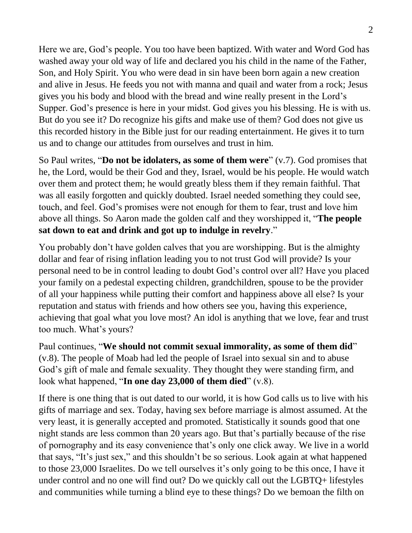Here we are, God's people. You too have been baptized. With water and Word God has washed away your old way of life and declared you his child in the name of the Father, Son, and Holy Spirit. You who were dead in sin have been born again a new creation and alive in Jesus. He feeds you not with manna and quail and water from a rock; Jesus gives you his body and blood with the bread and wine really present in the Lord's Supper. God's presence is here in your midst. God gives you his blessing. He is with us. But do you see it? Do recognize his gifts and make use of them? God does not give us this recorded history in the Bible just for our reading entertainment. He gives it to turn us and to change our attitudes from ourselves and trust in him.

So Paul writes, "**Do not be idolaters, as some of them were**" (v.7). God promises that he, the Lord, would be their God and they, Israel, would be his people. He would watch over them and protect them; he would greatly bless them if they remain faithful. That was all easily forgotten and quickly doubted. Israel needed something they could see, touch, and feel. God's promises were not enough for them to fear, trust and love him above all things. So Aaron made the golden calf and they worshipped it, "**The people sat down to eat and drink and got up to indulge in revelry**."

You probably don't have golden calves that you are worshipping. But is the almighty dollar and fear of rising inflation leading you to not trust God will provide? Is your personal need to be in control leading to doubt God's control over all? Have you placed your family on a pedestal expecting children, grandchildren, spouse to be the provider of all your happiness while putting their comfort and happiness above all else? Is your reputation and status with friends and how others see you, having this experience, achieving that goal what you love most? An idol is anything that we love, fear and trust too much. What's yours?

Paul continues, "**We should not commit sexual immorality, as some of them did**" (v.8). The people of Moab had led the people of Israel into sexual sin and to abuse God's gift of male and female sexuality. They thought they were standing firm, and look what happened, "**In one day 23,000 of them died**" (v.8).

If there is one thing that is out dated to our world, it is how God calls us to live with his gifts of marriage and sex. Today, having sex before marriage is almost assumed. At the very least, it is generally accepted and promoted. Statistically it sounds good that one night stands are less common than 20 years ago. But that's partially because of the rise of pornography and its easy convenience that's only one click away. We live in a world that says, "It's just sex," and this shouldn't be so serious. Look again at what happened to those 23,000 Israelites. Do we tell ourselves it's only going to be this once, I have it under control and no one will find out? Do we quickly call out the LGBTQ+ lifestyles and communities while turning a blind eye to these things? Do we bemoan the filth on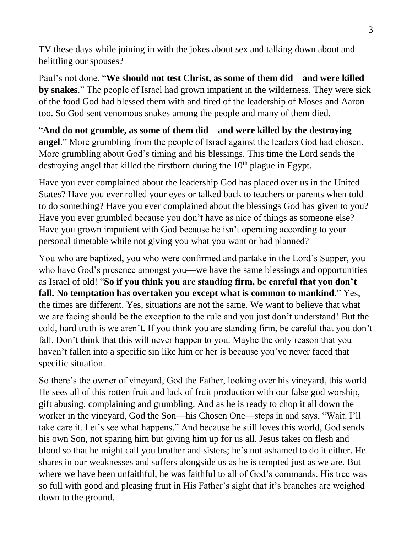TV these days while joining in with the jokes about sex and talking down about and belittling our spouses?

Paul's not done, "**We should not test Christ, as some of them did—and were killed by snakes**." The people of Israel had grown impatient in the wilderness. They were sick of the food God had blessed them with and tired of the leadership of Moses and Aaron too. So God sent venomous snakes among the people and many of them died.

"**And do not grumble, as some of them did—and were killed by the destroying angel**." More grumbling from the people of Israel against the leaders God had chosen. More grumbling about God's timing and his blessings. This time the Lord sends the destroying angel that killed the firstborn during the  $10<sup>th</sup>$  plague in Egypt.

Have you ever complained about the leadership God has placed over us in the United States? Have you ever rolled your eyes or talked back to teachers or parents when told to do something? Have you ever complained about the blessings God has given to you? Have you ever grumbled because you don't have as nice of things as someone else? Have you grown impatient with God because he isn't operating according to your personal timetable while not giving you what you want or had planned?

You who are baptized, you who were confirmed and partake in the Lord's Supper, you who have God's presence amongst you—we have the same blessings and opportunities as Israel of old! "**So if you think you are standing firm, be careful that you don't fall. No temptation has overtaken you except what is common to mankind**." Yes, the times are different. Yes, situations are not the same. We want to believe that what we are facing should be the exception to the rule and you just don't understand! But the cold, hard truth is we aren't. If you think you are standing firm, be careful that you don't fall. Don't think that this will never happen to you. Maybe the only reason that you haven't fallen into a specific sin like him or her is because you've never faced that specific situation.

So there's the owner of vineyard, God the Father, looking over his vineyard, this world. He sees all of this rotten fruit and lack of fruit production with our false god worship, gift abusing, complaining and grumbling. And as he is ready to chop it all down the worker in the vineyard, God the Son—his Chosen One—steps in and says, "Wait. I'll take care it. Let's see what happens." And because he still loves this world, God sends his own Son, not sparing him but giving him up for us all. Jesus takes on flesh and blood so that he might call you brother and sisters; he's not ashamed to do it either. He shares in our weaknesses and suffers alongside us as he is tempted just as we are. But where we have been unfaithful, he was faithful to all of God's commands. His tree was so full with good and pleasing fruit in His Father's sight that it's branches are weighed down to the ground.